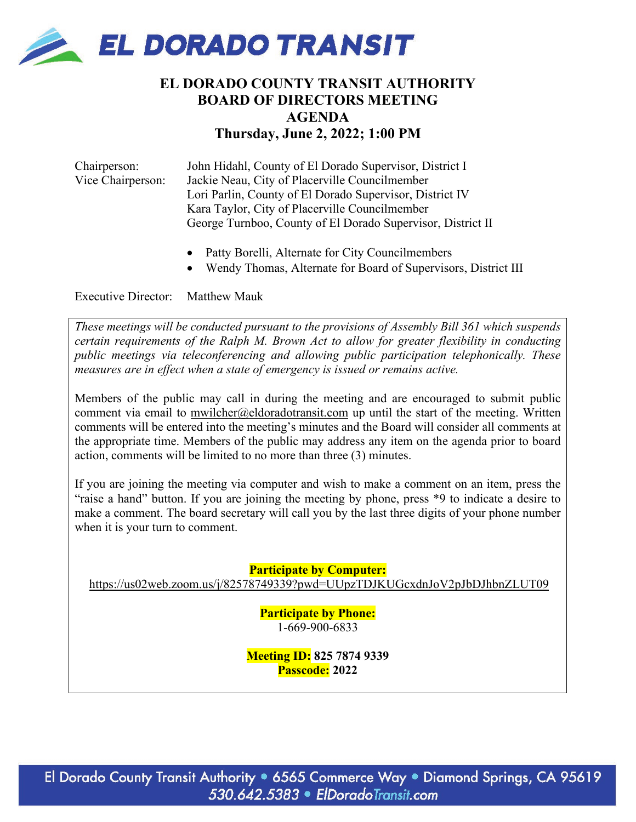

# **EL DORADO COUNTY TRANSIT AUTHORITY BOARD OF DIRECTORS MEETING AGENDA Thursday, June 2, 2022; 1:00 PM**

Chairperson: John Hidahl, County of El Dorado Supervisor, District I Vice Chairperson: Jackie Neau, City of Placerville Councilmember Lori Parlin, County of El Dorado Supervisor, District IV Kara Taylor, City of Placerville Councilmember George Turnboo, County of El Dorado Supervisor, District II

- Patty Borelli, Alternate for City Councilmembers
- Wendy Thomas, Alternate for Board of Supervisors, District III

Executive Director: Matthew Mauk

*These meetings will be conducted pursuant to the provisions of Assembly Bill 361 which suspends certain requirements of the Ralph M. Brown Act to allow for greater flexibility in conducting public meetings via teleconferencing and allowing public participation telephonically. These measures are in effect when a state of emergency is issued or remains active.*

Members of the public may call in during the meeting and are encouraged to submit public comment via email to [mwilcher@eldoradotransit.com](mailto:mwilcher@eldoradotransit.com) up until the start of the meeting. Written comments will be entered into the meeting's minutes and the Board will consider all comments at the appropriate time. Members of the public may address any item on the agenda prior to board action, comments will be limited to no more than three (3) minutes.

If you are joining the meeting via computer and wish to make a comment on an item, press the "raise a hand" button. If you are joining the meeting by phone, press \*9 to indicate a desire to make a comment. The board secretary will call you by the last three digits of your phone number when it is your turn to comment.

**Participate by Computer:**

<https://us02web.zoom.us/j/82578749339?pwd=UUpzTDJKUGcxdnJoV2pJbDJhbnZLUT09>

**Participate by Phone:** 1-669-900-6833

**Meeting ID: 825 7874 9339 Passcode: 2022**

El Dorado County Transit Authority . 6565 Commerce Way . Diamond Springs, CA 95619 530.642.5383 · ElDoradoTransit.com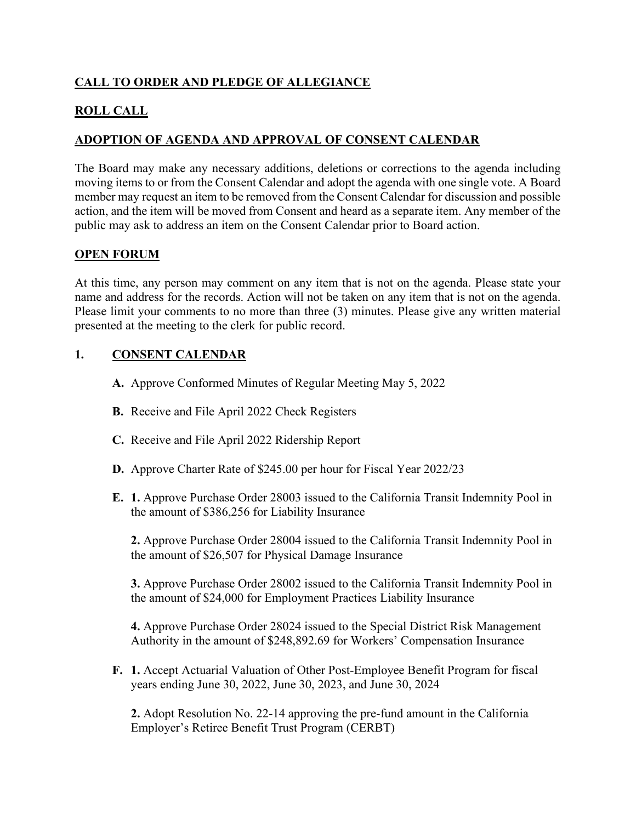## **CALL TO ORDER AND PLEDGE OF ALLEGIANCE**

## **ROLL CALL**

## **ADOPTION OF AGENDA AND APPROVAL OF CONSENT CALENDAR**

The Board may make any necessary additions, deletions or corrections to the agenda including moving items to or from the Consent Calendar and adopt the agenda with one single vote. A Board member may request an item to be removed from the Consent Calendar for discussion and possible action, and the item will be moved from Consent and heard as a separate item. Any member of the public may ask to address an item on the Consent Calendar prior to Board action.

## **OPEN FORUM**

At this time, any person may comment on any item that is not on the agenda. Please state your name and address for the records. Action will not be taken on any item that is not on the agenda. Please limit your comments to no more than three (3) minutes. Please give any written material presented at the meeting to the clerk for public record.

## **1. CONSENT CALENDAR**

- **A.** Approve Conformed Minutes of Regular Meeting May 5, 2022
- **B.** Receive and File April 2022 Check Registers
- **C.** Receive and File April 2022 Ridership Report
- **D.** Approve Charter Rate of \$245.00 per hour for Fiscal Year 2022/23
- **E. 1.** Approve Purchase Order 28003 issued to the California Transit Indemnity Pool in the amount of \$386,256 for Liability Insurance

**2.** Approve Purchase Order 28004 issued to the California Transit Indemnity Pool in the amount of \$26,507 for Physical Damage Insurance

**3.** Approve Purchase Order 28002 issued to the California Transit Indemnity Pool in the amount of \$24,000 for Employment Practices Liability Insurance

**4.** Approve Purchase Order 28024 issued to the Special District Risk Management Authority in the amount of \$248,892.69 for Workers' Compensation Insurance

**F. 1.** Accept Actuarial Valuation of Other Post-Employee Benefit Program for fiscal years ending June 30, 2022, June 30, 2023, and June 30, 2024

**2.** Adopt Resolution No. 22-14 approving the pre-fund amount in the California Employer's Retiree Benefit Trust Program (CERBT)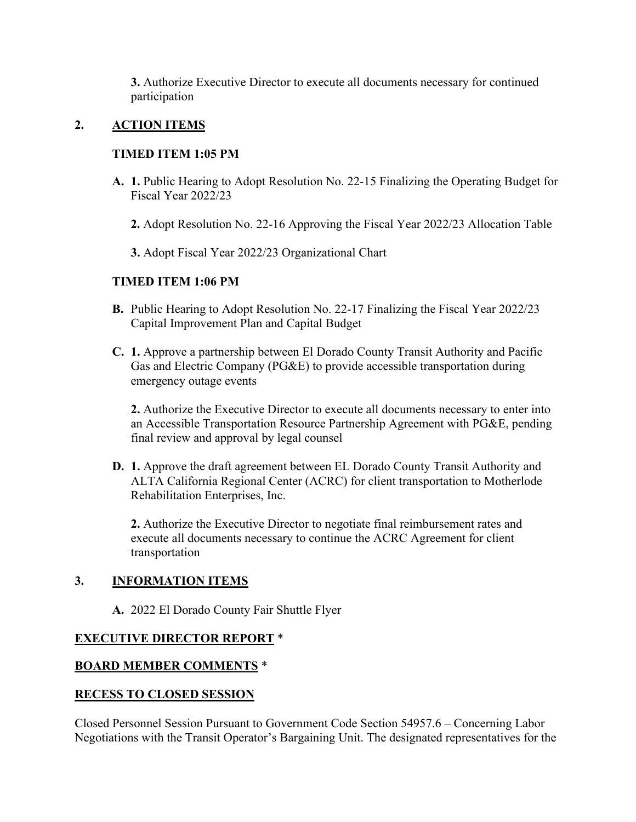**3.** Authorize Executive Director to execute all documents necessary for continued participation

## **2. ACTION ITEMS**

## **TIMED ITEM 1:05 PM**

- **A. 1.** Public Hearing to Adopt Resolution No. 22-15 Finalizing the Operating Budget for Fiscal Year 2022/23
	- **2.** Adopt Resolution No. 22-16 Approving the Fiscal Year 2022/23 Allocation Table
	- **3.** Adopt Fiscal Year 2022/23 Organizational Chart

## **TIMED ITEM 1:06 PM**

- **B.** Public Hearing to Adopt Resolution No. 22-17 Finalizing the Fiscal Year 2022/23 Capital Improvement Plan and Capital Budget
- **C. 1.** Approve a partnership between El Dorado County Transit Authority and Pacific Gas and Electric Company (PG&E) to provide accessible transportation during emergency outage events

**2.** Authorize the Executive Director to execute all documents necessary to enter into an Accessible Transportation Resource Partnership Agreement with PG&E, pending final review and approval by legal counsel

**D. 1.** Approve the draft agreement between EL Dorado County Transit Authority and ALTA California Regional Center (ACRC) for client transportation to Motherlode Rehabilitation Enterprises, Inc.

**2.** Authorize the Executive Director to negotiate final reimbursement rates and execute all documents necessary to continue the ACRC Agreement for client transportation

#### **3. INFORMATION ITEMS**

**A.** 2022 El Dorado County Fair Shuttle Flyer

## **EXECUTIVE DIRECTOR REPORT** \*

#### **BOARD MEMBER COMMENTS** \*

#### **RECESS TO CLOSED SESSION**

Closed Personnel Session Pursuant to Government Code Section 54957.6 – Concerning Labor Negotiations with the Transit Operator's Bargaining Unit. The designated representatives for the